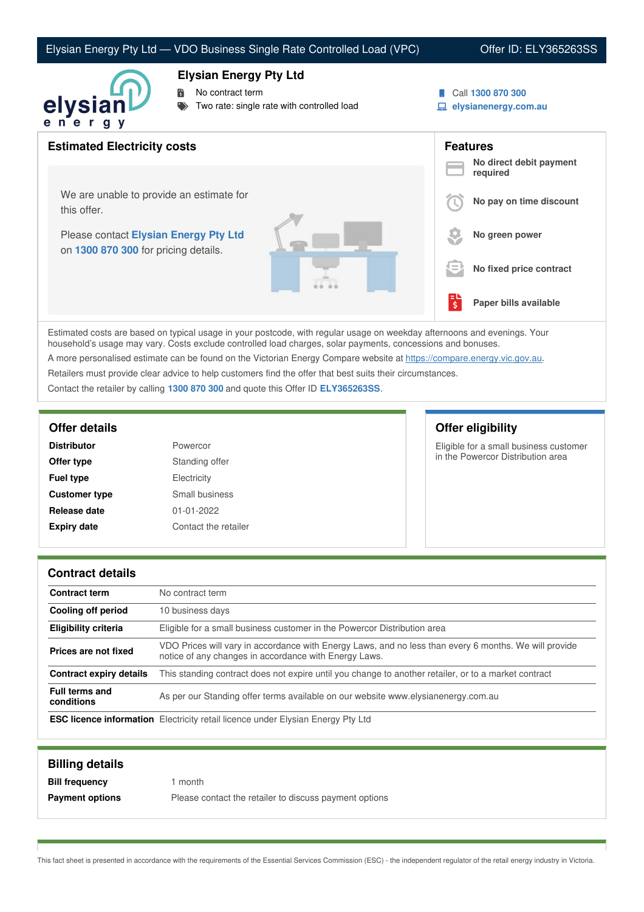### Elysian Energy Pty Ltd — VDO Business Single Rate Controlled Load (VPC) Offer ID: ELY365263SS



#### **Elysian Energy Pty Ltd**

No contract term

- Two rate: single rate with controlled load
- Call **1300 870 300**
- **elysianenergy.com.au**

| <b>Estimated Electricity costs</b>                                                           |                                          | <b>Features</b><br>No direct debit payment |
|----------------------------------------------------------------------------------------------|------------------------------------------|--------------------------------------------|
| We are unable to provide an estimate for                                                     |                                          | required<br>No pay on time discount        |
| this offer.<br>Please contact Elysian Energy Pty Ltd<br>on 1300 870 300 for pricing details. |                                          | No green power                             |
|                                                                                              | $=$                                      | No fixed price contract                    |
|                                                                                              | Ξ<br>$\overline{\boldsymbol{\varsigma}}$ | Paper bills available                      |
|                                                                                              |                                          |                                            |

Estimated costs are based on typical usage in your postcode, with regular usage on weekday afternoons and evenings. Your household's usage may vary. Costs exclude controlled load charges, solar payments, concessions and bonuses.

A more personalised estimate can be found on the Victorian Energy Compare website at <https://compare.energy.vic.gov.au>.

Retailers must provide clear advice to help customers find the offer that best suits their circumstances.

Contact the retailer by calling **1300 870 300** and quote this Offer ID **ELY365263SS**.

| <b>Distributor</b>   | Powercor             |
|----------------------|----------------------|
| Offer type           | Standing offer       |
| <b>Fuel type</b>     | Electricity          |
| <b>Customer type</b> | Small business       |
| Release date         | $01 - 01 - 2022$     |
| <b>Expiry date</b>   | Contact the retailer |
|                      |                      |

## **Offer details Offer eligibility**

Eligible for a small business customer in the Powercor Distribution area

#### **Contract details**

| Contract term                       | No contract term                                                                                                                                               |
|-------------------------------------|----------------------------------------------------------------------------------------------------------------------------------------------------------------|
| Cooling off period                  | 10 business days                                                                                                                                               |
| <b>Eligibility criteria</b>         | Eligible for a small business customer in the Powercor Distribution area                                                                                       |
| Prices are not fixed                | VDO Prices will vary in accordance with Energy Laws, and no less than every 6 months. We will provide<br>notice of any changes in accordance with Energy Laws. |
| <b>Contract expiry details</b>      | This standing contract does not expire until you change to another retailer, or to a market contract                                                           |
| <b>Full terms and</b><br>conditions | As per our Standing offer terms available on our website www.elysianenergy.com.au                                                                              |
|                                     | <b>ESC licence information</b> Electricity retail licence under Elysian Energy Pty Ltd                                                                         |

| <b>Billing details</b> |                                                        |
|------------------------|--------------------------------------------------------|
| <b>Bill frequency</b>  | month                                                  |
| <b>Payment options</b> | Please contact the retailer to discuss payment options |